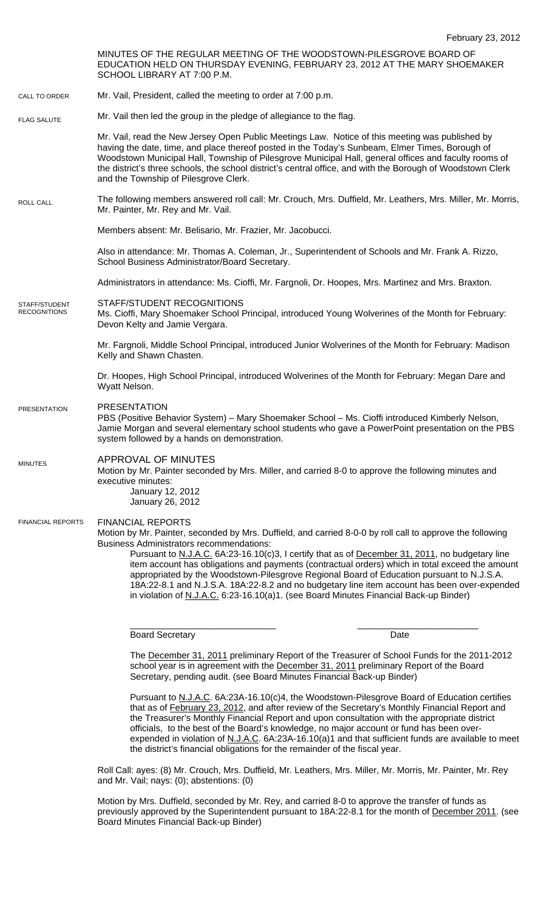February 23, 2012 MINUTES OF THE REGULAR MEETING OF THE WOODSTOWN-PILESGROVE BOARD OF EDUCATION HELD ON THURSDAY EVENING, FEBRUARY 23, 2012 AT THE MARY SHOEMAKER SCHOOL LIBRARY AT 7:00 P.M. Mr. Vail, President, called the meeting to order at 7:00 p.m. Mr. Vail then led the group in the pledge of allegiance to the flag. Mr. Vail, read the New Jersey Open Public Meetings Law. Notice of this meeting was published by having the date, time, and place thereof posted in the Today's Sunbeam, Elmer Times, Borough of Woodstown Municipal Hall, Township of Pilesgrove Municipal Hall, general offices and faculty rooms of the district's three schools, the school district's central office, and with the Borough of Woodstown Clerk and the Township of Pilesgrove Clerk. The following members answered roll call: Mr. Crouch, Mrs. Duffield, Mr. Leathers, Mrs. Miller, Mr. Morris, Mr. Painter, Mr. Rey and Mr. Vail. Members absent: Mr. Belisario, Mr. Frazier, Mr. Jacobucci. Also in attendance: Mr. Thomas A. Coleman, Jr., Superintendent of Schools and Mr. Frank A. Rizzo, School Business Administrator/Board Secretary. Administrators in attendance: Ms. Cioffi, Mr. Fargnoli, Dr. Hoopes, Mrs. Martinez and Mrs. Braxton. STAFF/STUDENT RECOGNITIONS Ms. Cioffi, Mary Shoemaker School Principal, introduced Young Wolverines of the Month for February: Devon Kelty and Jamie Vergara. Mr. Fargnoli, Middle School Principal, introduced Junior Wolverines of the Month for February: Madison Kelly and Shawn Chasten. Dr. Hoopes, High School Principal, introduced Wolverines of the Month for February: Megan Dare and Wyatt Nelson. PRESENTATION PBS (Positive Behavior System) – Mary Shoemaker School – Ms. Cioffi introduced Kimberly Nelson, Jamie Morgan and several elementary school students who gave a PowerPoint presentation on the PBS system followed by a hands on demonstration. APPROVAL OF MINUTES Motion by Mr. Painter seconded by Mrs. Miller, and carried 8-0 to approve the following minutes and executive minutes: January 12, 2012 January 26, 2012 FINANCIAL REPORTS Motion by Mr. Painter, seconded by Mrs. Duffield, and carried 8-0-0 by roll call to approve the following Business Administrators recommendations: Pursuant to N.J.A.C. 6A:23-16.10(c)3, I certify that as of December 31, 2011, no budgetary line item account has obligations and payments (contractual orders) which in total exceed the amount appropriated by the Woodstown-Pilesgrove Regional Board of Education pursuant to N.J.S.A. 18A:22-8.1 and N.J.S.A. 18A:22-8.2 and no budgetary line item account has been over-expended in violation of N.J.A.C. 6:23-16.10(a)1. (see Board Minutes Financial Back-up Binder) \_\_\_\_\_\_\_\_\_\_\_\_\_\_\_\_\_\_\_\_\_\_\_\_\_\_\_\_\_ \_\_\_\_\_\_\_\_\_\_\_\_\_\_\_\_\_\_\_\_\_\_\_\_ Board Secretary **Date** The December 31, 2011 preliminary Report of the Treasurer of School Funds for the 2011-2012 school year is in agreement with the December 31, 2011 preliminary Report of the Board Secretary, pending audit. (see Board Minutes Financial Back-up Binder) Pursuant to N.J.A.C. 6A:23A-16.10(c)4, the Woodstown-Pilesgrove Board of Education certifies that as of February 23, 2012, and after review of the Secretary's Monthly Financial Report and the Treasurer's Monthly Financial Report and upon consultation with the appropriate district CALL TO ORDER ROLL CALL FLAG SALUTE MINUTES FINANCIAL REPORTS STAFF/STUDENT **RECOGNITIONS PRESENTATION** 

> the district's financial obligations for the remainder of the fiscal year. Roll Call: ayes: (8) Mr. Crouch, Mrs. Duffield, Mr. Leathers, Mrs. Miller, Mr. Morris, Mr. Painter, Mr. Rey and Mr. Vail; nays: (0); abstentions: (0)

officials, to the best of the Board's knowledge, no major account or fund has been over-

expended in violation of N.J.A.C. 6A:23A-16.10(a)1 and that sufficient funds are available to meet

Motion by Mrs. Duffield, seconded by Mr. Rey, and carried 8-0 to approve the transfer of funds as previously approved by the Superintendent pursuant to 18A:22-8.1 for the month of December 2011. (see Board Minutes Financial Back-up Binder)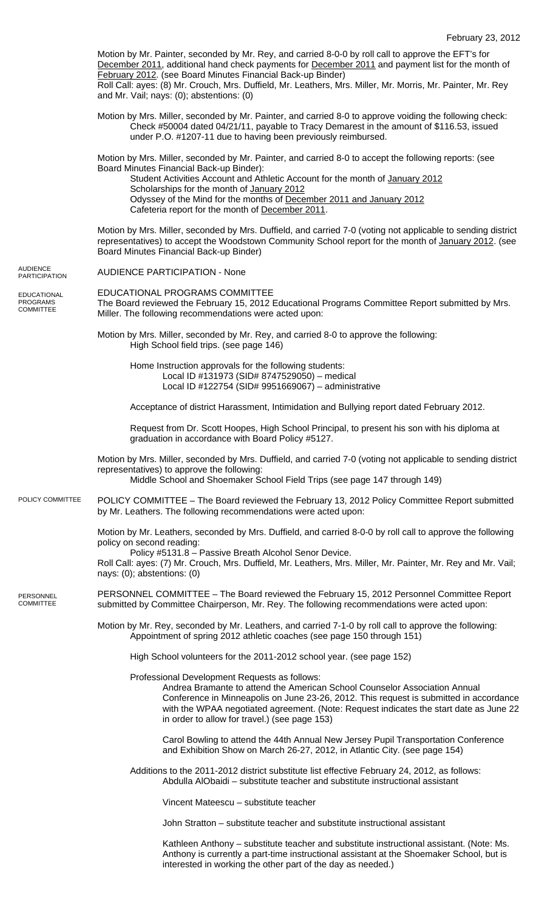|                                             | Motion by Mr. Painter, seconded by Mr. Rey, and carried 8-0-0 by roll call to approve the EFT's for<br>December 2011, additional hand check payments for December 2011 and payment list for the month of<br>February 2012. (see Board Minutes Financial Back-up Binder)<br>Roll Call: ayes: (8) Mr. Crouch, Mrs. Duffield, Mr. Leathers, Mrs. Miller, Mr. Morris, Mr. Painter, Mr. Rey<br>and Mr. Vail; nays: (0); abstentions: (0) |
|---------------------------------------------|-------------------------------------------------------------------------------------------------------------------------------------------------------------------------------------------------------------------------------------------------------------------------------------------------------------------------------------------------------------------------------------------------------------------------------------|
|                                             | Motion by Mrs. Miller, seconded by Mr. Painter, and carried 8-0 to approve voiding the following check:<br>Check #50004 dated 04/21/11, payable to Tracy Demarest in the amount of \$116.53, issued<br>under P.O. #1207-11 due to having been previously reimbursed.                                                                                                                                                                |
|                                             | Motion by Mrs. Miller, seconded by Mr. Painter, and carried 8-0 to accept the following reports: (see<br>Board Minutes Financial Back-up Binder):<br>Student Activities Account and Athletic Account for the month of January 2012<br>Scholarships for the month of January 2012<br>Odyssey of the Mind for the months of December 2011 and January 2012<br>Cafeteria report for the month of December 2011.                        |
|                                             | Motion by Mrs. Miller, seconded by Mrs. Duffield, and carried 7-0 (voting not applicable to sending district<br>representatives) to accept the Woodstown Community School report for the month of January 2012. (see<br>Board Minutes Financial Back-up Binder)                                                                                                                                                                     |
| AUDIENCE<br>PARTICIPATION                   | <b>AUDIENCE PARTICIPATION - None</b>                                                                                                                                                                                                                                                                                                                                                                                                |
| EDUCATIONAL<br><b>PROGRAMS</b><br>COMMITTEE | EDUCATIONAL PROGRAMS COMMITTEE<br>The Board reviewed the February 15, 2012 Educational Programs Committee Report submitted by Mrs.<br>Miller. The following recommendations were acted upon:                                                                                                                                                                                                                                        |
|                                             | Motion by Mrs. Miller, seconded by Mr. Rey, and carried 8-0 to approve the following:<br>High School field trips. (see page 146)                                                                                                                                                                                                                                                                                                    |
|                                             | Home Instruction approvals for the following students:<br>Local ID #131973 (SID# 8747529050) - medical<br>Local ID #122754 (SID# 9951669067) - administrative                                                                                                                                                                                                                                                                       |
|                                             | Acceptance of district Harassment, Intimidation and Bullying report dated February 2012.                                                                                                                                                                                                                                                                                                                                            |
|                                             | Request from Dr. Scott Hoopes, High School Principal, to present his son with his diploma at<br>graduation in accordance with Board Policy #5127.                                                                                                                                                                                                                                                                                   |
|                                             | Motion by Mrs. Miller, seconded by Mrs. Duffield, and carried 7-0 (voting not applicable to sending district<br>representatives) to approve the following:<br>Middle School and Shoemaker School Field Trips (see page 147 through 149)                                                                                                                                                                                             |
| POLICY COMMITTEE                            | POLICY COMMITTEE - The Board reviewed the February 13, 2012 Policy Committee Report submitted<br>by Mr. Leathers. The following recommendations were acted upon:                                                                                                                                                                                                                                                                    |
|                                             | Motion by Mr. Leathers, seconded by Mrs. Duffield, and carried 8-0-0 by roll call to approve the following<br>policy on second reading:<br>Policy #5131.8 - Passive Breath Alcohol Senor Device.                                                                                                                                                                                                                                    |
|                                             | Roll Call: ayes: (7) Mr. Crouch, Mrs. Duffield, Mr. Leathers, Mrs. Miller, Mr. Painter, Mr. Rey and Mr. Vail;<br>nays: (0); abstentions: (0)                                                                                                                                                                                                                                                                                        |
| PERSONNEL<br>COMMITTEE                      | PERSONNEL COMMITTEE - The Board reviewed the February 15, 2012 Personnel Committee Report<br>submitted by Committee Chairperson, Mr. Rey. The following recommendations were acted upon:                                                                                                                                                                                                                                            |
|                                             | Motion by Mr. Rey, seconded by Mr. Leathers, and carried 7-1-0 by roll call to approve the following:<br>Appointment of spring 2012 athletic coaches (see page 150 through 151)                                                                                                                                                                                                                                                     |
|                                             | High School volunteers for the 2011-2012 school year. (see page 152)                                                                                                                                                                                                                                                                                                                                                                |
|                                             | Professional Development Requests as follows:<br>Andrea Bramante to attend the American School Counselor Association Annual<br>Conference in Minneapolis on June 23-26, 2012. This request is submitted in accordance<br>with the WPAA negotiated agreement. (Note: Request indicates the start date as June 22<br>in order to allow for travel.) (see page 153)                                                                    |
|                                             | Carol Bowling to attend the 44th Annual New Jersey Pupil Transportation Conference<br>and Exhibition Show on March 26-27, 2012, in Atlantic City. (see page 154)                                                                                                                                                                                                                                                                    |
|                                             | Additions to the 2011-2012 district substitute list effective February 24, 2012, as follows:<br>Abdulla AlObaidi - substitute teacher and substitute instructional assistant                                                                                                                                                                                                                                                        |
|                                             | Vincent Mateescu - substitute teacher                                                                                                                                                                                                                                                                                                                                                                                               |
|                                             | John Stratton – substitute teacher and substitute instructional assistant                                                                                                                                                                                                                                                                                                                                                           |
|                                             | Kathleen Anthony - substitute teacher and substitute instructional assistant. (Note: Ms.<br>Anthony is currently a part-time instructional assistant at the Shoemaker School, but is                                                                                                                                                                                                                                                |

POLICY

interested in working the other part of the day as needed.)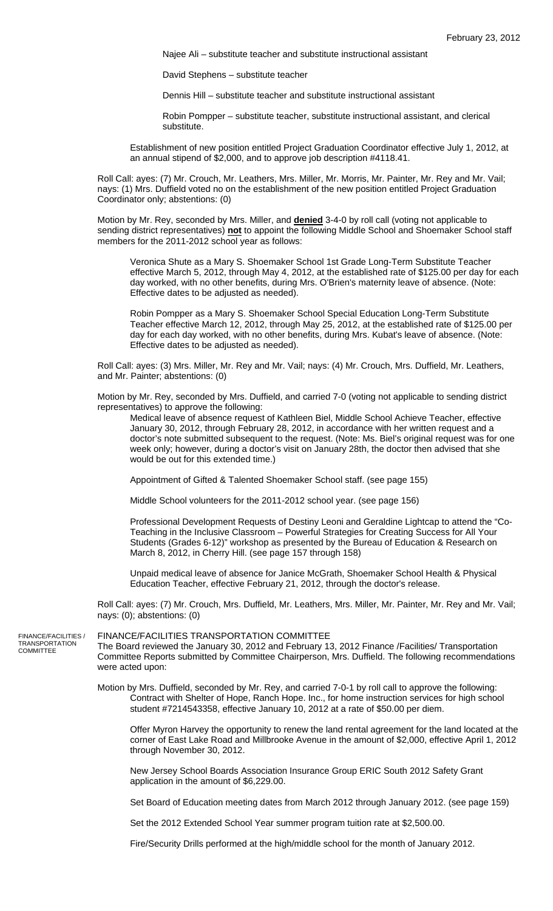Najee Ali – substitute teacher and substitute instructional assistant

David Stephens – substitute teacher

Dennis Hill – substitute teacher and substitute instructional assistant

Robin Pompper – substitute teacher, substitute instructional assistant, and clerical substitute.

Establishment of new position entitled Project Graduation Coordinator effective July 1, 2012, at an annual stipend of \$2,000, and to approve job description #4118.41.

Roll Call: ayes: (7) Mr. Crouch, Mr. Leathers, Mrs. Miller, Mr. Morris, Mr. Painter, Mr. Rey and Mr. Vail; nays: (1) Mrs. Duffield voted no on the establishment of the new position entitled Project Graduation Coordinator only; abstentions: (0)

Motion by Mr. Rey, seconded by Mrs. Miller, and **denied** 3-4-0 by roll call (voting not applicable to sending district representatives) **not** to appoint the following Middle School and Shoemaker School staff members for the 2011-2012 school year as follows:

Veronica Shute as a Mary S. Shoemaker School 1st Grade Long-Term Substitute Teacher effective March 5, 2012, through May 4, 2012, at the established rate of \$125.00 per day for each day worked, with no other benefits, during Mrs. O'Brien's maternity leave of absence. (Note: Effective dates to be adjusted as needed).

Robin Pompper as a Mary S. Shoemaker School Special Education Long-Term Substitute Teacher effective March 12, 2012, through May 25, 2012, at the established rate of \$125.00 per day for each day worked, with no other benefits, during Mrs. Kubat's leave of absence. (Note: Effective dates to be adjusted as needed).

Roll Call: ayes: (3) Mrs. Miller, Mr. Rey and Mr. Vail; nays: (4) Mr. Crouch, Mrs. Duffield, Mr. Leathers, and Mr. Painter; abstentions: (0)

Motion by Mr. Rey, seconded by Mrs. Duffield, and carried 7-0 (voting not applicable to sending district representatives) to approve the following:

Medical leave of absence request of Kathleen Biel, Middle School Achieve Teacher, effective January 30, 2012, through February 28, 2012, in accordance with her written request and a doctor's note submitted subsequent to the request. (Note: Ms. Biel's original request was for one week only; however, during a doctor's visit on January 28th, the doctor then advised that she would be out for this extended time.)

Appointment of Gifted & Talented Shoemaker School staff. (see page 155)

Middle School volunteers for the 2011-2012 school year. (see page 156)

Professional Development Requests of Destiny Leoni and Geraldine Lightcap to attend the "Co-Teaching in the Inclusive Classroom – Powerful Strategies for Creating Success for All Your Students (Grades 6-12)" workshop as presented by the Bureau of Education & Research on March 8, 2012, in Cherry Hill. (see page 157 through 158)

Unpaid medical leave of absence for Janice McGrath, Shoemaker School Health & Physical Education Teacher, effective February 21, 2012, through the doctor's release.

Roll Call: ayes: (7) Mr. Crouch, Mrs. Duffield, Mr. Leathers, Mrs. Miller, Mr. Painter, Mr. Rey and Mr. Vail; nays: (0); abstentions: (0)

FINANCE/FACILITIES / TRANSPORTATION COMMITTEE

## FINANCE/FACILITIES TRANSPORTATION COMMITTEE

The Board reviewed the January 30, 2012 and February 13, 2012 Finance /Facilities/ Transportation Committee Reports submitted by Committee Chairperson, Mrs. Duffield. The following recommendations were acted upon:

Motion by Mrs. Duffield, seconded by Mr. Rey, and carried 7-0-1 by roll call to approve the following: Contract with Shelter of Hope, Ranch Hope. Inc., for home instruction services for high school student #7214543358, effective January 10, 2012 at a rate of \$50.00 per diem.

Offer Myron Harvey the opportunity to renew the land rental agreement for the land located at the corner of East Lake Road and Millbrooke Avenue in the amount of \$2,000, effective April 1, 2012 through November 30, 2012.

New Jersey School Boards Association Insurance Group ERIC South 2012 Safety Grant application in the amount of \$6,229.00.

Set Board of Education meeting dates from March 2012 through January 2012. (see page 159)

Set the 2012 Extended School Year summer program tuition rate at \$2,500.00.

Fire/Security Drills performed at the high/middle school for the month of January 2012.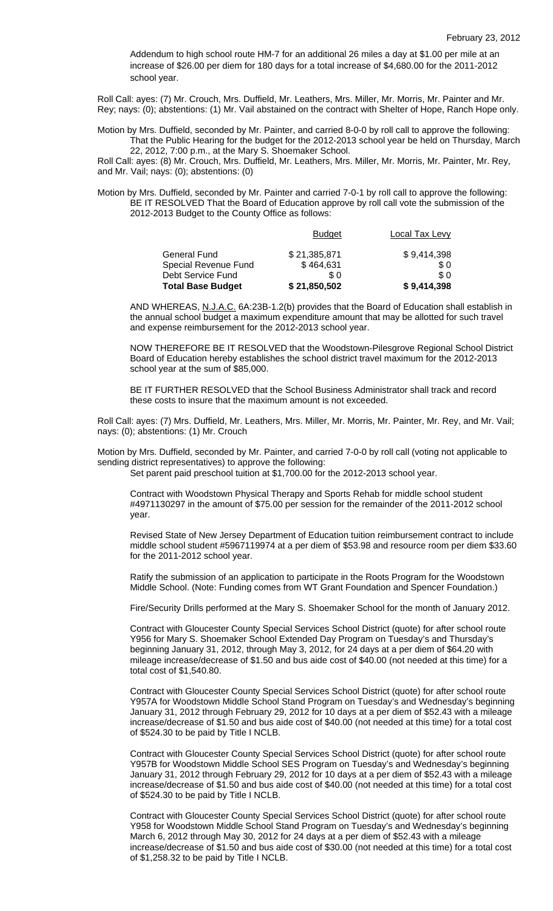Addendum to high school route HM-7 for an additional 26 miles a day at \$1.00 per mile at an increase of \$26.00 per diem for 180 days for a total increase of \$4,680.00 for the 2011-2012 school year.

Roll Call: ayes: (7) Mr. Crouch, Mrs. Duffield, Mr. Leathers, Mrs. Miller, Mr. Morris, Mr. Painter and Mr. Rey; nays: (0); abstentions: (1) Mr. Vail abstained on the contract with Shelter of Hope, Ranch Hope only.

Motion by Mrs. Duffield, seconded by Mr. Painter, and carried 8-0-0 by roll call to approve the following: That the Public Hearing for the budget for the 2012-2013 school year be held on Thursday, March 22, 2012, 7:00 p.m., at the Mary S. Shoemaker School.

Roll Call: ayes: (8) Mr. Crouch, Mrs. Duffield, Mr. Leathers, Mrs. Miller, Mr. Morris, Mr. Painter, Mr. Rey, and Mr. Vail; nays: (0); abstentions: (0)

Motion by Mrs. Duffield, seconded by Mr. Painter and carried 7-0-1 by roll call to approve the following: BE IT RESOLVED That the Board of Education approve by roll call vote the submission of the 2012-2013 Budget to the County Office as follows:

| <b>Total Base Budget</b> | \$21,850,502  | \$9,414,398    |
|--------------------------|---------------|----------------|
| Debt Service Fund        | \$0           | \$ 0           |
| Special Revenue Fund     | \$464,631     | \$0            |
| <b>General Fund</b>      | \$21,385,871  | \$9,414,398    |
|                          | <b>Budget</b> | Local Tax Levy |

AND WHEREAS, N.J.A.C. 6A:23B-1.2(b) provides that the Board of Education shall establish in the annual school budget a maximum expenditure amount that may be allotted for such travel and expense reimbursement for the 2012-2013 school year.

NOW THEREFORE BE IT RESOLVED that the Woodstown-Pilesgrove Regional School District Board of Education hereby establishes the school district travel maximum for the 2012-2013 school year at the sum of \$85,000.

BE IT FURTHER RESOLVED that the School Business Administrator shall track and record these costs to insure that the maximum amount is not exceeded.

Roll Call: ayes: (7) Mrs. Duffield, Mr. Leathers, Mrs. Miller, Mr. Morris, Mr. Painter, Mr. Rey, and Mr. Vail; nays: (0); abstentions: (1) Mr. Crouch

Motion by Mrs. Duffield, seconded by Mr. Painter, and carried 7-0-0 by roll call (voting not applicable to sending district representatives) to approve the following: Set parent paid preschool tuition at \$1,700.00 for the 2012-2013 school year.

Contract with Woodstown Physical Therapy and Sports Rehab for middle school student #4971130297 in the amount of \$75.00 per session for the remainder of the 2011-2012 school year.

Revised State of New Jersey Department of Education tuition reimbursement contract to include middle school student #5967119974 at a per diem of \$53.98 and resource room per diem \$33.60 for the 2011-2012 school year.

Ratify the submission of an application to participate in the Roots Program for the Woodstown Middle School. (Note: Funding comes from WT Grant Foundation and Spencer Foundation.)

Fire/Security Drills performed at the Mary S. Shoemaker School for the month of January 2012.

Contract with Gloucester County Special Services School District (quote) for after school route Y956 for Mary S. Shoemaker School Extended Day Program on Tuesday's and Thursday's beginning January 31, 2012, through May 3, 2012, for 24 days at a per diem of \$64.20 with mileage increase/decrease of \$1.50 and bus aide cost of \$40.00 (not needed at this time) for a total cost of \$1,540.80.

Contract with Gloucester County Special Services School District (quote) for after school route Y957A for Woodstown Middle School Stand Program on Tuesday's and Wednesday's beginning January 31, 2012 through February 29, 2012 for 10 days at a per diem of \$52.43 with a mileage increase/decrease of \$1.50 and bus aide cost of \$40.00 (not needed at this time) for a total cost of \$524.30 to be paid by Title I NCLB.

Contract with Gloucester County Special Services School District (quote) for after school route Y957B for Woodstown Middle School SES Program on Tuesday's and Wednesday's beginning January 31, 2012 through February 29, 2012 for 10 days at a per diem of \$52.43 with a mileage increase/decrease of \$1.50 and bus aide cost of \$40.00 (not needed at this time) for a total cost of \$524.30 to be paid by Title I NCLB.

Contract with Gloucester County Special Services School District (quote) for after school route Y958 for Woodstown Middle School Stand Program on Tuesday's and Wednesday's beginning March 6, 2012 through May 30, 2012 for 24 days at a per diem of \$52.43 with a mileage increase/decrease of \$1.50 and bus aide cost of \$30.00 (not needed at this time) for a total cost of \$1,258.32 to be paid by Title I NCLB.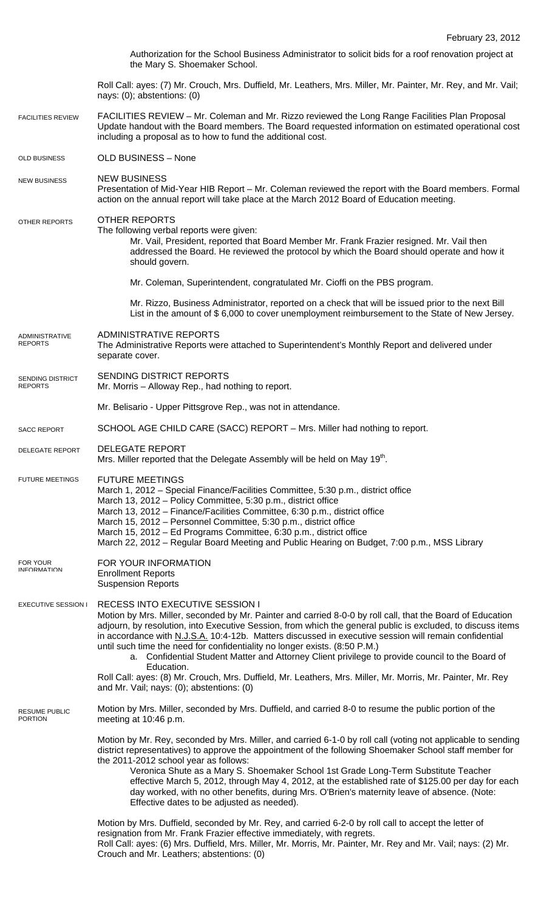|                                        | Authorization for the School Business Administrator to solicit bids for a roof renovation project at<br>the Mary S. Shoemaker School.                                                                                                                                                                                                                                                                                                                                                                                                                                                                       |  |  |
|----------------------------------------|-------------------------------------------------------------------------------------------------------------------------------------------------------------------------------------------------------------------------------------------------------------------------------------------------------------------------------------------------------------------------------------------------------------------------------------------------------------------------------------------------------------------------------------------------------------------------------------------------------------|--|--|
|                                        | Roll Call: ayes: (7) Mr. Crouch, Mrs. Duffield, Mr. Leathers, Mrs. Miller, Mr. Painter, Mr. Rey, and Mr. Vail;<br>nays: (0); abstentions: (0)                                                                                                                                                                                                                                                                                                                                                                                                                                                               |  |  |
| <b>FACILITIES REVIEW</b>               | FACILITIES REVIEW - Mr. Coleman and Mr. Rizzo reviewed the Long Range Facilities Plan Proposal<br>Update handout with the Board members. The Board requested information on estimated operational cost<br>including a proposal as to how to fund the additional cost.                                                                                                                                                                                                                                                                                                                                       |  |  |
| <b>OLD BUSINESS</b>                    | OLD BUSINESS - None                                                                                                                                                                                                                                                                                                                                                                                                                                                                                                                                                                                         |  |  |
| <b>NEW BUSINESS</b>                    | <b>NEW BUSINESS</b><br>Presentation of Mid-Year HIB Report – Mr. Coleman reviewed the report with the Board members. Formal<br>action on the annual report will take place at the March 2012 Board of Education meeting.                                                                                                                                                                                                                                                                                                                                                                                    |  |  |
| OTHER REPORTS                          | <b>OTHER REPORTS</b><br>The following verbal reports were given:<br>Mr. Vail, President, reported that Board Member Mr. Frank Frazier resigned. Mr. Vail then<br>addressed the Board. He reviewed the protocol by which the Board should operate and how it<br>should govern.                                                                                                                                                                                                                                                                                                                               |  |  |
|                                        | Mr. Coleman, Superintendent, congratulated Mr. Cioffi on the PBS program.                                                                                                                                                                                                                                                                                                                                                                                                                                                                                                                                   |  |  |
|                                        | Mr. Rizzo, Business Administrator, reported on a check that will be issued prior to the next Bill<br>List in the amount of \$6,000 to cover unemployment reimbursement to the State of New Jersey.                                                                                                                                                                                                                                                                                                                                                                                                          |  |  |
| ADMINISTRATIVE<br><b>REPORTS</b>       | <b>ADMINISTRATIVE REPORTS</b><br>The Administrative Reports were attached to Superintendent's Monthly Report and delivered under<br>separate cover.                                                                                                                                                                                                                                                                                                                                                                                                                                                         |  |  |
| SENDING DISTRICT<br><b>REPORTS</b>     | SENDING DISTRICT REPORTS<br>Mr. Morris - Alloway Rep., had nothing to report.                                                                                                                                                                                                                                                                                                                                                                                                                                                                                                                               |  |  |
|                                        | Mr. Belisario - Upper Pittsgrove Rep., was not in attendance.                                                                                                                                                                                                                                                                                                                                                                                                                                                                                                                                               |  |  |
| <b>SACC REPORT</b>                     | SCHOOL AGE CHILD CARE (SACC) REPORT - Mrs. Miller had nothing to report.                                                                                                                                                                                                                                                                                                                                                                                                                                                                                                                                    |  |  |
| <b>DELEGATE REPORT</b>                 | <b>DELEGATE REPORT</b><br>Mrs. Miller reported that the Delegate Assembly will be held on May 19 <sup>th</sup> .                                                                                                                                                                                                                                                                                                                                                                                                                                                                                            |  |  |
| <b>FUTURE MEETINGS</b>                 | <b>FUTURE MEETINGS</b><br>March 1, 2012 – Special Finance/Facilities Committee, 5:30 p.m., district office<br>March 13, 2012 - Policy Committee, 5:30 p.m., district office<br>March 13, 2012 - Finance/Facilities Committee, 6:30 p.m., district office<br>March 15, 2012 - Personnel Committee, 5:30 p.m., district office<br>March 15, 2012 – Ed Programs Committee, 6:30 p.m., district office<br>March 22, 2012 - Regular Board Meeting and Public Hearing on Budget, 7:00 p.m., MSS Library                                                                                                           |  |  |
| FOR YOUR<br><b>INFORMATION</b>         | FOR YOUR INFORMATION<br><b>Enrollment Reports</b><br><b>Suspension Reports</b>                                                                                                                                                                                                                                                                                                                                                                                                                                                                                                                              |  |  |
| <b>EXECUTIVE SESSION I</b>             | RECESS INTO EXECUTIVE SESSION I<br>Motion by Mrs. Miller, seconded by Mr. Painter and carried 8-0-0 by roll call, that the Board of Education<br>adjourn, by resolution, into Executive Session, from which the general public is excluded, to discuss items<br>in accordance with N.J.S.A. 10:4-12b. Matters discussed in executive session will remain confidential<br>until such time the need for confidentiality no longer exists. (8:50 P.M.)<br>a. Confidential Student Matter and Attorney Client privilege to provide council to the Board of<br>Education.                                        |  |  |
|                                        | Roll Call: ayes: (8) Mr. Crouch, Mrs. Duffield, Mr. Leathers, Mrs. Miller, Mr. Morris, Mr. Painter, Mr. Rey<br>and Mr. Vail; nays: (0); abstentions: (0)                                                                                                                                                                                                                                                                                                                                                                                                                                                    |  |  |
| <b>RESUME PUBLIC</b><br><b>PORTION</b> | Motion by Mrs. Miller, seconded by Mrs. Duffield, and carried 8-0 to resume the public portion of the<br>meeting at 10:46 p.m.                                                                                                                                                                                                                                                                                                                                                                                                                                                                              |  |  |
|                                        | Motion by Mr. Rey, seconded by Mrs. Miller, and carried 6-1-0 by roll call (voting not applicable to sending<br>district representatives) to approve the appointment of the following Shoemaker School staff member for<br>the 2011-2012 school year as follows:<br>Veronica Shute as a Mary S. Shoemaker School 1st Grade Long-Term Substitute Teacher<br>effective March 5, 2012, through May 4, 2012, at the established rate of \$125.00 per day for each<br>day worked, with no other benefits, during Mrs. O'Brien's maternity leave of absence. (Note:<br>Effective dates to be adjusted as needed). |  |  |
|                                        | Motion by Mrs. Duffield, seconded by Mr. Rey, and carried 6-2-0 by roll call to accept the letter of<br>resignation from Mr. Frank Frazier effective immediately, with regrets.<br>Roll Call: ayes: (6) Mrs. Duffield, Mrs. Miller, Mr. Morris, Mr. Painter, Mr. Rey and Mr. Vail; nays: (2) Mr.                                                                                                                                                                                                                                                                                                            |  |  |

Crouch and Mr. Leathers; abstentions: (0)